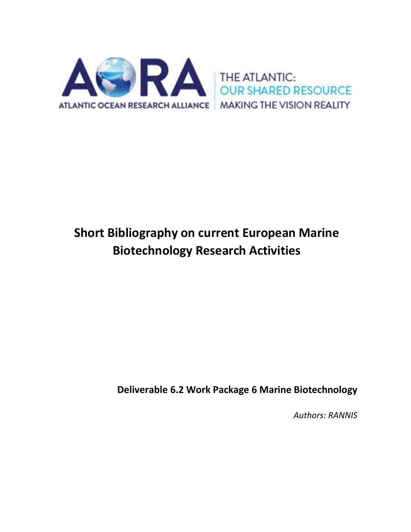

# **Short Bibliography on current European Marine Biotechnology Research Activities**

**Deliverable 6.2 Work Package 6 Marine Biotechnology**

*Authors: RANNIS*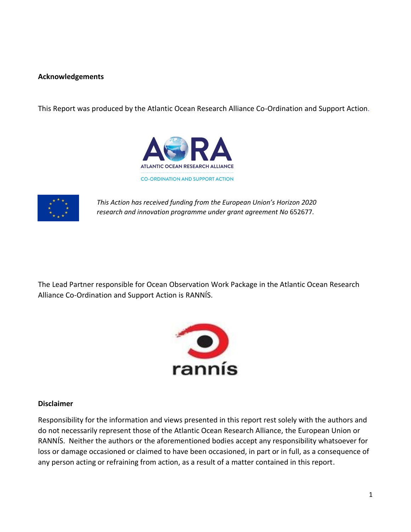# **Acknowledgements**

This Report was produced by the Atlantic Ocean Research Alliance Co-Ordination and Support Action.





*This Action has received funding from the European Union's Horizon 2020 research and innovation programme under grant agreement No* 652677*.*

The Lead Partner responsible for Ocean Observation Work Package in the Atlantic Ocean Research Alliance Co-Ordination and Support Action is RANNÍS.



# **Disclaimer**

Responsibility for the information and views presented in this report rest solely with the authors and do not necessarily represent those of the Atlantic Ocean Research Alliance, the European Union or RANNÍS. Neither the authors or the aforementioned bodies accept any responsibility whatsoever for loss or damage occasioned or claimed to have been occasioned, in part or in full, as a consequence of any person acting or refraining from action, as a result of a matter contained in this report.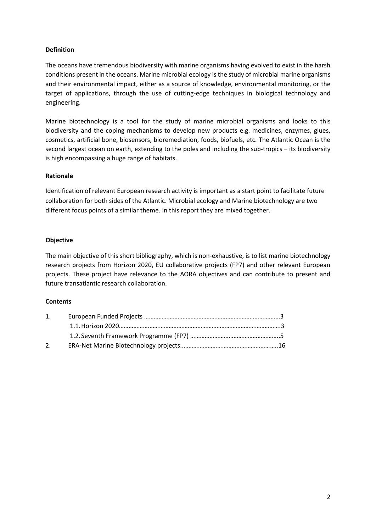# **Definition**

The oceans have tremendous biodiversity with marine organisms having evolved to exist in the harsh conditions present in the oceans. Marine microbial ecology is the study of microbial marine organisms and their environmental impact, either as a source of knowledge, environmental monitoring, or the target of applications, through the use of cutting-edge techniques in biological technology and engineering.

Marine biotechnology is a tool for the study of marine microbial organisms and looks to this biodiversity and the coping mechanisms to develop new products e.g. medicines, enzymes, glues, cosmetics, artificial bone, biosensors, bioremediation, foods, biofuels, etc. The Atlantic Ocean is the second largest ocean on earth, extending to the poles and including the sub-tropics – its biodiversity is high encompassing a huge range of habitats.

# **Rationale**

Identification of relevant European research activity is important as a start point to facilitate future collaboration for both sides of the Atlantic. Microbial ecology and Marine biotechnology are two different focus points of a similar theme. In this report they are mixed together.

# **Objective**

The main objective of this short bibliography, which is non-exhaustive, is to list marine biotechnology research projects from Horizon 2020, EU collaborative projects (FP7) and other relevant European projects. These project have relevance to the AORA objectives and can contribute to present and future transatlantic research collaboration.

# **Contents**

| 1. |  |
|----|--|
|    |  |
|    |  |
| 2. |  |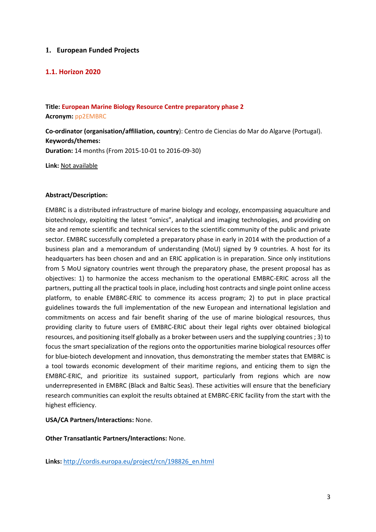# **1. European Funded Projects**

# **1.1. Horizon 2020**

# **Title: European Marine Biology Resource Centre preparatory phase 2 Acronym:** pp2EMBRC

**Co-ordinator (organisation/affiliation, country**): Centro de Ciencias do Mar do Algarve (Portugal). **Keywords/themes:**

**Duration:** 14 months (From 2015-10-01 to 2016-09-30)

**Link:** [Not](http://www.responseable.eu/) available

# **Abstract/Description:**

EMBRC is a distributed infrastructure of marine biology and ecology, encompassing aquaculture and biotechnology, exploiting the latest "omics", analytical and imaging technologies, and providing on site and remote scientific and technical services to the scientific community of the public and private sector. EMBRC successfully completed a preparatory phase in early in 2014 with the production of a business plan and a memorandum of understanding (MoU) signed by 9 countries. A host for its headquarters has been chosen and and an ERIC application is in preparation. Since only institutions from 5 MoU signatory countries went through the preparatory phase, the present proposal has as objectives: 1) to harmonize the access mechanism to the operational EMBRC-ERIC across all the partners, putting all the practical tools in place, including host contracts and single point online access platform, to enable EMBRC-ERIC to commence its access program; 2) to put in place practical guidelines towards the full implementation of the new European and international legislation and commitments on access and fair benefit sharing of the use of marine biological resources, thus providing clarity to future users of EMBRC-ERIC about their legal rights over obtained biological resources, and positioning itself globally as a broker between users and the supplying countries ; 3) to focus the smart specialization of the regions onto the opportunities marine biological resources offer for blue-biotech development and innovation, thus demonstrating the member states that EMBRC is a tool towards economic development of their maritime regions, and enticing them to sign the EMBRC-ERIC, and prioritize its sustained support, particularly from regions which are now underrepresented in EMBRC (Black and Baltic Seas). These activities will ensure that the beneficiary research communities can exploit the results obtained at EMBRC-ERIC facility from the start with the highest efficiency.

# **USA/CA Partners/Interactions:** None.

**Other Transatlantic Partners/Interactions:** None.

**Links:** [http://cordis.europa.eu/project/rcn/198826\\_en.html](http://cordis.europa.eu/project/rcn/198826_en.html)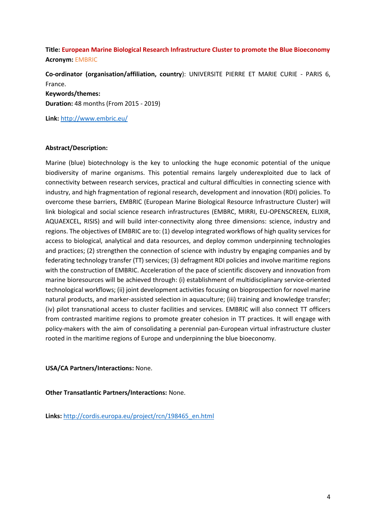# **Title: European Marine Biological Research Infrastructure Cluster to promote the Blue Bioeconomy Acronym:** EMBRIC

**Co-ordinator (organisation/affiliation, country**): UNIVERSITE PIERRE ET MARIE CURIE - PARIS 6, France.

**Keywords/themes: Duration:** 48 months (From 2015 - 2019)

**Link:** <http://www.embric.eu/>

# **Abstract/Description:**

Marine (blue) biotechnology is the key to unlocking the huge economic potential of the unique biodiversity of marine organisms. This potential remains largely underexploited due to lack of connectivity between research services, practical and cultural difficulties in connecting science with industry, and high fragmentation of regional research, development and innovation (RDI) policies. To overcome these barriers, EMBRIC (European Marine Biological Resource Infrastructure Cluster) will link biological and social science research infrastructures (EMBRC, MIRRI, EU-OPENSCREEN, ELIXIR, AQUAEXCEL, RISIS) and will build inter-connectivity along three dimensions: science, industry and regions. The objectives of EMBRIC are to: (1) develop integrated workflows of high quality services for access to biological, analytical and data resources, and deploy common underpinning technologies and practices; (2) strengthen the connection of science with industry by engaging companies and by federating technology transfer (TT) services; (3) defragment RDI policies and involve maritime regions with the construction of EMBRIC. Acceleration of the pace of scientific discovery and innovation from marine bioresources will be achieved through: (i) establishment of multidisciplinary service-oriented technological workflows; (ii) joint development activities focusing on bioprospection for novel marine natural products, and marker-assisted selection in aquaculture; (iii) training and knowledge transfer; (iv) pilot transnational access to cluster facilities and services. EMBRIC will also connect TT officers from contrasted maritime regions to promote greater cohesion in TT practices. It will engage with policy-makers with the aim of consolidating a perennial pan-European virtual infrastructure cluster rooted in the maritime regions of Europe and underpinning the blue bioeconomy.

**USA/CA Partners/Interactions:** None.

**Other Transatlantic Partners/Interactions:** None.

**Links:** [http://cordis.europa.eu/project/rcn/198465\\_en.html](http://cordis.europa.eu/project/rcn/198465_en.html)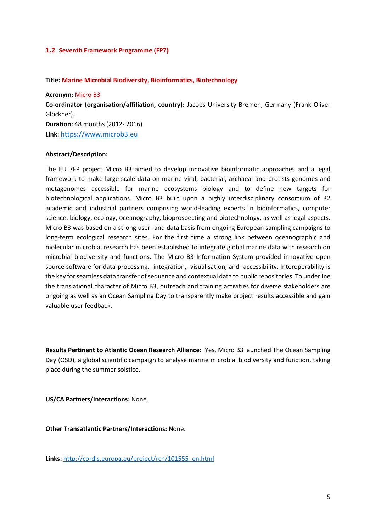# **1.2 Seventh Framework Programme (FP7)**

## **Title: Marine Microbial Biodiversity, Bioinformatics, Biotechnology**

**Acronym:** Micro B3

**Co-ordinator (organisation/affiliation, country):** [Jacobs University Bremen,](https://www.microb3.eu/partners#partner_accordion-block-0) Germany (Frank Oliver Glöckner). **Duration:** 48 months (2012- 2016)

**Link:** [https://www.microb3.eu](https://www.microb3.eu/)

# **Abstract/Description:**

The EU 7FP project Micro B3 aimed to develop innovative bioinformatic approaches and a legal framework to make large-scale data on marine viral, bacterial, archaeal and protists genomes and metagenomes accessible for marine ecosystems biology and to define new targets for biotechnological applications. Micro B3 built upon a highly interdisciplinary consortium of 32 academic and industrial partners comprising world-leading experts in bioinformatics, computer science, biology, ecology, oceanography, bioprospecting and biotechnology, as well as legal aspects. Micro B3 was based on a strong user- and data basis from ongoing European sampling campaigns to long-term ecological research sites. For the first time a strong link between oceanographic and molecular microbial research has been established to integrate global marine data with research on microbial biodiversity and functions. The Micro B3 Information System provided innovative open source software for data-processing, -integration, -visualisation, and -accessibility. Interoperability is the key for seamless data transfer of sequence and contextual data to public repositories. To underline the translational character of Micro B3, outreach and training activities for diverse stakeholders are ongoing as well as an Ocean Sampling Day to transparently make project results accessible and gain valuable user feedback.

**Results Pertinent to Atlantic Ocean Research Alliance:** Yes. Micro B3 launched The Ocean Sampling Day (OSD), a global scientific campaign to analyse marine microbial biodiversity and function, taking place during the summer solstice.

**US/CA Partners/Interactions:** None.

**Other Transatlantic Partners/Interactions:** None.

**Links:** [http://cordis.europa.eu/project/rcn/101555\\_en.html](http://cordis.europa.eu/project/rcn/101555_en.html)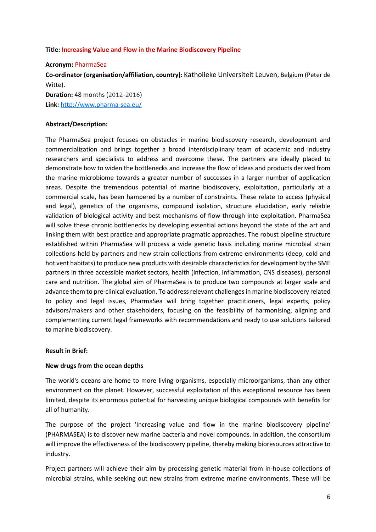## **Title: Increasing Value and Flow in the Marine Biodiscovery Pipeline**

#### **Acronym:** PharmaSea

**Co-ordinator (organisation/affiliation, country):** Katholieke Universiteit Leuven, Belgium (Peter de Witte).

**Duration:** 48 months (2012-2016) **Link:** <http://www.pharma-sea.eu/>

## **Abstract/Description:**

The PharmaSea project focuses on obstacles in marine biodiscovery research, development and commercialization and brings together a broad interdisciplinary team of academic and industry researchers and specialists to address and overcome these. The partners are ideally placed to demonstrate how to widen the bottlenecks and increase the flow of ideas and products derived from the marine microbiome towards a greater number of successes in a larger number of application areas. Despite the tremendous potential of marine biodiscovery, exploitation, particularly at a commercial scale, has been hampered by a number of constraints. These relate to access (physical and legal), genetics of the organisms, compound isolation, structure elucidation, early reliable validation of biological activity and best mechanisms of flow-through into exploitation. PharmaSea will solve these chronic bottlenecks by developing essential actions beyond the state of the art and linking them with best practice and appropriate pragmatic approaches. The robust pipeline structure established within PharmaSea will process a wide genetic basis including marine microbial strain collections held by partners and new strain collections from extreme environments (deep, cold and hot vent habitats) to produce new products with desirable characteristics for development by the SME partners in three accessible market sectors, health (infection, inflammation, CNS diseases), personal care and nutrition. The global aim of PharmaSea is to produce two compounds at larger scale and advance them to pre-clinical evaluation. To address relevant challenges in marine biodiscovery related to policy and legal issues, PharmaSea will bring together practitioners, legal experts, policy advisors/makers and other stakeholders, focusing on the feasibility of harmonising, aligning and complementing current legal frameworks with recommendations and ready to use solutions tailored to marine biodiscovery.

#### **Result in Brief:**

# **New drugs from the ocean depths**

The world's oceans are home to more living organisms, especially microorganisms, than any other environment on the planet. However, successful exploitation of this exceptional resource has been limited, despite its enormous potential for harvesting unique biological compounds with benefits for all of humanity.

The purpose of the project 'Increasing value and flow in the marine biodiscovery pipeline' (PHARMASEA) is to discover new marine bacteria and novel compounds. In addition, the consortium will improve the effectiveness of the biodiscovery pipeline, thereby making bioresources attractive to industry.

Project partners will achieve their aim by processing genetic material from in-house collections of microbial strains, while seeking out new strains from extreme marine environments. These will be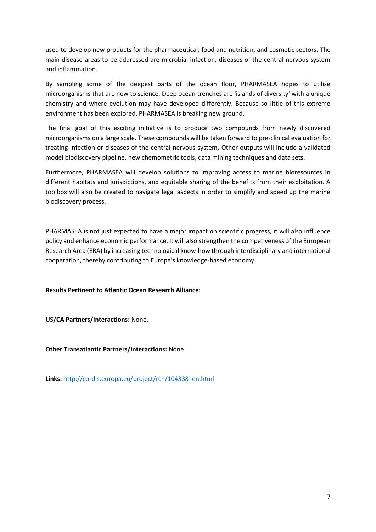used to develop new products for the pharmaceutical, food and nutrition, and cosmetic sectors. The main disease areas to be addressed are microbial infection, diseases of the central nervous system and inflammation.

By sampling some of the deepest parts of the ocean floor, PHARMASEA hopes to utilise microorganisms that are new to science. Deep ocean trenches are 'islands of diversity' with a unique chemistry and where evolution may have developed differently. Because so little of this extreme environment has been explored, PHARMASEA is breaking new ground.

The final goal of this exciting initiative is to produce two compounds from newly discovered microorganisms on a large scale. These compounds will be taken forward to pre-clinical evaluation for treating infection or diseases of the central nervous system. Other outputs will include a validated model biodiscovery pipeline, new chemometric tools, data mining techniques and data sets.

Furthermore, PHARMASEA will develop solutions to improving access to marine bioresources in different habitats and jurisdictions, and equitable sharing of the benefits from their exploitation. A toolbox will also be created to navigate legal aspects in order to simplify and speed up the marine biodiscovery process.

PHARMASEA is not just expected to have a major impact on scientific progress, it will also influence policy and enhance economic performance. It will also strengthen the competiveness of the European Research Area (ERA) by increasing technological know-how through interdisciplinary and international cooperation, thereby contributing to Europe's knowledge-based economy.

**Results Pertinent to Atlantic Ocean Research Alliance:** 

**US/CA Partners/Interactions:** None.

**Other Transatlantic Partners/Interactions:** None.

**Links:** [http://cordis.europa.eu/project/rcn/104338\\_en.html](http://cordis.europa.eu/project/rcn/104338_en.html)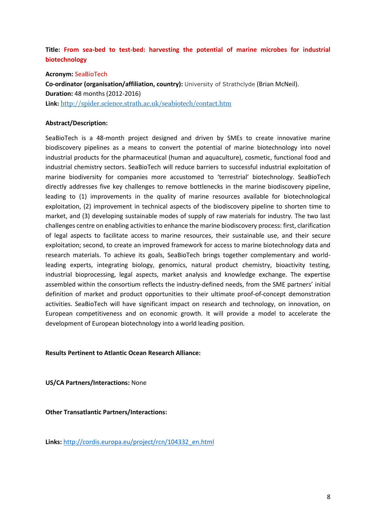# **Title: From sea-bed to test-bed: harvesting the potential of marine microbes for industrial biotechnology**

**Acronym:** SeaBioTech

**Co-ordinator (organisation/affiliation, country):** University of Strathclyde (Brian McNeil). **Duration:** 48 months (2012-2016) **Link:** <http://spider.science.strath.ac.uk/seabiotech/contact.htm>

# **Abstract/Description:**

SeaBioTech is a 48-month project designed and driven by SMEs to create innovative marine biodiscovery pipelines as a means to convert the potential of marine biotechnology into novel industrial products for the pharmaceutical (human and aquaculture), cosmetic, functional food and industrial chemistry sectors. SeaBioTech will reduce barriers to successful industrial exploitation of marine biodiversity for companies more accustomed to 'terrestrial' biotechnology. SeaBioTech directly addresses five key challenges to remove bottlenecks in the marine biodiscovery pipeline, leading to (1) improvements in the quality of marine resources available for biotechnological exploitation, (2) improvement in technical aspects of the biodiscovery pipeline to shorten time to market, and (3) developing sustainable modes of supply of raw materials for industry. The two last challenges centre on enabling activities to enhance the marine biodiscovery process: first, clarification of legal aspects to facilitate access to marine resources, their sustainable use, and their secure exploitation; second, to create an improved framework for access to marine biotechnology data and research materials. To achieve its goals, SeaBioTech brings together complementary and worldleading experts, integrating biology, genomics, natural product chemistry, bioactivity testing, industrial bioprocessing, legal aspects, market analysis and knowledge exchange. The expertise assembled within the consortium reflects the industry-defined needs, from the SME partners' initial definition of market and product opportunities to their ultimate proof-of-concept demonstration activities. SeaBioTech will have significant impact on research and technology, on innovation, on European competitiveness and on economic growth. It will provide a model to accelerate the development of European biotechnology into a world leading position.

# **Results Pertinent to Atlantic Ocean Research Alliance:**

**US/CA Partners/Interactions:** None

**Other Transatlantic Partners/Interactions:** 

**Links:** [http://cordis.europa.eu/project/rcn/104332\\_en.html](http://cordis.europa.eu/project/rcn/104332_en.html)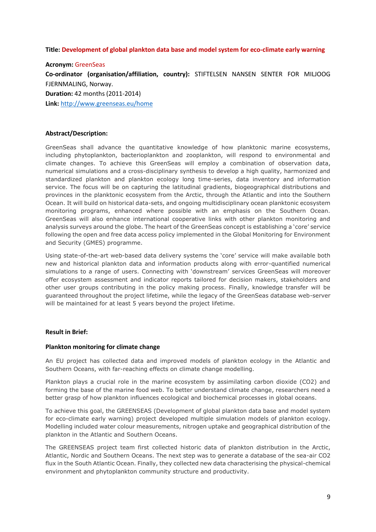## **Title: Development of global plankton data base and model system for eco-climate early warning**

#### **Acronym:** GreenSeas

**Co-ordinator (organisation/affiliation, country):** STIFTELSEN NANSEN SENTER FOR MILJOOG FJERNMALING, Norway.

**Duration:** 42 months (2011-2014)

**Link:** <http://www.greenseas.eu/home>

#### **Abstract/Description:**

GreenSeas shall advance the quantitative knowledge of how planktonic marine ecosystems, including phytoplankton, bacterioplankton and zooplankton, will respond to environmental and climate changes. To achieve this GreenSeas will employ a combination of observation data, numerical simulations and a cross-disciplinary synthesis to develop a high quality, harmonized and standardized plankton and plankton ecology long time-series, data inventory and information service. The focus will be on capturing the latitudinal gradients, biogeographical distributions and provinces in the planktonic ecosystem from the Arctic, through the Atlantic and into the Southern Ocean. It will build on historical data-sets, and ongoing multidisciplinary ocean planktonic ecosystem monitoring programs, enhanced where possible with an emphasis on the Southern Ocean. GreenSeas will also enhance international cooperative links with other plankton monitoring and analysis surveys around the globe. The heart of the GreenSeas concept is establishing a 'core' service following the open and free data access policy implemented in the Global Monitoring for Environment and Security (GMES) programme.

Using state-of-the-art web-based data delivery systems the 'core' service will make available both new and historical plankton data and information products along with error-quantified numerical simulations to a range of users. Connecting with 'downstream' services GreenSeas will moreover offer ecosystem assessment and indicator reports tailored for decision makers, stakeholders and other user groups contributing in the policy making process. Finally, knowledge transfer will be guaranteed throughout the project lifetime, while the legacy of the GreenSeas database web-server will be maintained for at least 5 years beyond the project lifetime.

#### **Result in Brief:**

#### **Plankton monitoring for climate change**

An EU project has collected data and improved models of plankton ecology in the Atlantic and Southern Oceans, with far-reaching effects on climate change modelling.

Plankton plays a crucial role in the marine ecosystem by assimilating carbon dioxide (CO2) and forming the base of the marine food web. To better understand climate change, researchers need a better grasp of how plankton influences ecological and biochemical processes in global oceans.

To achieve this goal, the GREENSEAS (Development of global plankton data base and model system for eco-climate early warning) project developed multiple simulation models of plankton ecology. Modelling included water colour measurements, nitrogen uptake and geographical distribution of the plankton in the Atlantic and Southern Oceans.

The GREENSEAS project team first collected historic data of plankton distribution in the Arctic, Atlantic, Nordic and Southern Oceans. The next step was to generate a database of the sea-air CO2 flux in the South Atlantic Ocean. Finally, they collected new data characterising the physical-chemical environment and phytoplankton community structure and productivity.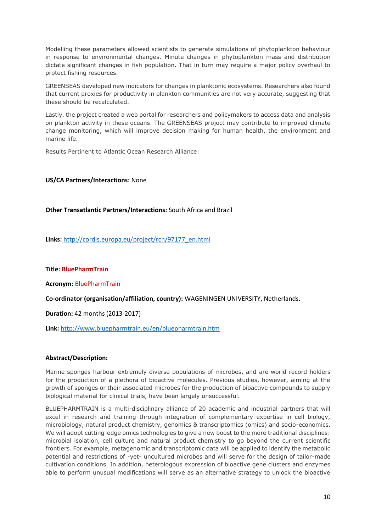Modelling these parameters allowed scientists to generate simulations of phytoplankton behaviour in response to environmental changes. Minute changes in phytoplankton mass and distribution dictate significant changes in fish population. That in turn may require a major policy overhaul to protect fishing resources.

GREENSEAS developed new indicators for changes in planktonic ecosystems. Researchers also found that current proxies for productivity in plankton communities are not very accurate, suggesting that these should be recalculated.

Lastly, the project created a web portal for researchers and policymakers to access data and analysis on plankton activity in these oceans. The GREENSEAS project may contribute to improved climate change monitoring, which will improve decision making for human health, the environment and marine life.

Results Pertinent to Atlantic Ocean Research Alliance:

# **US/CA Partners/Interactions:** None

# **Other Transatlantic Partners/Interactions:** South Africa and Brazil

**Links:** [http://cordis.europa.eu/project/rcn/97177\\_en.html](http://cordis.europa.eu/project/rcn/97177_en.html)

**Title: BluePharmTrain**

**Acronym:** BluePharmTrain

**Co-ordinator (organisation/affiliation, country):** WAGENINGEN UNIVERSITY, Netherlands.

**Duration:** 42 months (2013-2017)

**Link:** http://www.bluepharmtrain.eu/en/bluepharmtrain.htm

# **Abstract/Description:**

Marine sponges harbour extremely diverse populations of microbes, and are world record holders for the production of a plethora of bioactive molecules. Previous studies, however, aiming at the growth of sponges or their associated microbes for the production of bioactive compounds to supply biological material for clinical trials, have been largely unsuccessful.

BLUEPHARMTRAIN is a multi-disciplinary alliance of 20 academic and industrial partners that will excel in research and training through integration of complementary expertise in cell biology, microbiology, natural product chemistry, genomics & transcriptomics (omics) and socio-economics. We will adopt cutting-edge omics technologies to give a new boost to the more traditional disciplines: microbial isolation, cell culture and natural product chemistry to go beyond the current scientific frontiers. For example, metagenomic and transcriptomic data will be applied to identify the metabolic potential and restrictions of -yet- uncultured microbes and will serve for the design of tailor-made cultivation conditions. In addition, heterologous expression of bioactive gene clusters and enzymes able to perform unusual modifications will serve as an alternative strategy to unlock the bioactive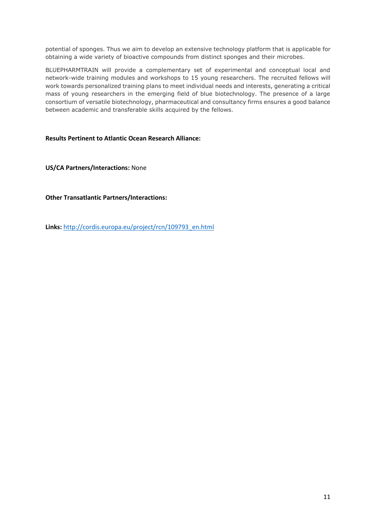potential of sponges. Thus we aim to develop an extensive technology platform that is applicable for obtaining a wide variety of bioactive compounds from distinct sponges and their microbes.

BLUEPHARMTRAIN will provide a complementary set of experimental and conceptual local and network-wide training modules and workshops to 15 young researchers. The recruited fellows will work towards personalized training plans to meet individual needs and interests, generating a critical mass of young researchers in the emerging field of blue biotechnology. The presence of a large consortium of versatile biotechnology, pharmaceutical and consultancy firms ensures a good balance between academic and transferable skills acquired by the fellows.

**Results Pertinent to Atlantic Ocean Research Alliance:** 

**US/CA Partners/Interactions:** None

**Other Transatlantic Partners/Interactions:** 

**Links:** [http://cordis.europa.eu/project/rcn/109793\\_en.html](http://cordis.europa.eu/project/rcn/109793_en.html)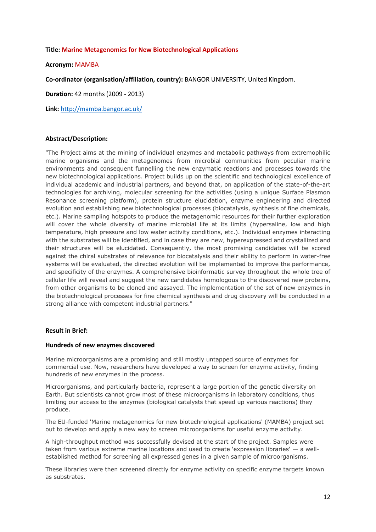#### **Title: Marine Metagenomics for New Biotechnological Applications**

#### **Acronym:** MAMBA

**Co-ordinator (organisation/affiliation, country):** BANGOR UNIVERSITY, United Kingdom.

**Duration:** 42 months (2009 - 2013)

**Link:** http://mamba.bangor.ac.uk/

### **Abstract/Description:**

"The Project aims at the mining of individual enzymes and metabolic pathways from extremophilic marine organisms and the metagenomes from microbial communities from peculiar marine environments and consequent funnelling the new enzymatic reactions and processes towards the new biotechnological applications. Project builds up on the scientific and technological excellence of individual academic and industrial partners, and beyond that, on application of the state-of-the-art technologies for archiving, molecular screening for the activities (using a unique Surface Plasmon Resonance screening platform), protein structure elucidation, enzyme engineering and directed evolution and establishing new biotechnological processes (biocatalysis, synthesis of fine chemicals, etc.). Marine sampling hotspots to produce the metagenomic resources for their further exploration will cover the whole diversity of marine microbial life at its limits (hypersaline, low and high temperature, high pressure and low water activity conditions, etc.). Individual enzymes interacting with the substrates will be identified, and in case they are new, hyperexpressed and crystallized and their structures will be elucidated. Consequently, the most promising candidates will be scored against the chiral substrates of relevance for biocatalysis and their ability to perform in water-free systems will be evaluated, the directed evolution will be implemented to improve the performance, and specificity of the enzymes. A comprehensive bioinformatic survey throughout the whole tree of cellular life will reveal and suggest the new candidates homologous to the discovered new proteins, from other organisms to be cloned and assayed. The implementation of the set of new enzymes in the biotechnological processes for fine chemical synthesis and drug discovery will be conducted in a strong alliance with competent industrial partners."

#### **Result in Brief:**

#### **Hundreds of new enzymes discovered**

Marine microorganisms are a promising and still mostly untapped source of enzymes for commercial use. Now, researchers have developed a way to screen for enzyme activity, finding hundreds of new enzymes in the process.

Microorganisms, and particularly bacteria, represent a large portion of the genetic diversity on Earth. But scientists cannot grow most of these microorganisms in laboratory conditions, thus limiting our access to the enzymes (biological catalysts that speed up various reactions) they produce.

The EU-funded 'Marine metagenomics for new biotechnological applications' (MAMBA) project set out to develop and apply a new way to screen microorganisms for useful enzyme activity.

A high-throughput method was successfully devised at the start of the project. Samples were taken from various extreme marine locations and used to create 'expression libraries' — a wellestablished method for screening all expressed genes in a given sample of microorganisms.

These libraries were then screened directly for enzyme activity on specific enzyme targets known as substrates.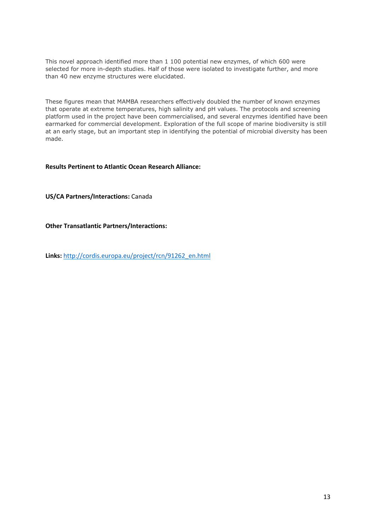This novel approach identified more than 1 100 potential new enzymes, of which 600 were selected for more in-depth studies. Half of those were isolated to investigate further, and more than 40 new enzyme structures were elucidated.

These figures mean that MAMBA researchers effectively doubled the number of known enzymes that operate at extreme temperatures, high salinity and pH values. The protocols and screening platform used in the project have been commercialised, and several enzymes identified have been earmarked for commercial development. Exploration of the full scope of marine biodiversity is still at an early stage, but an important step in identifying the potential of microbial diversity has been made.

# **Results Pertinent to Atlantic Ocean Research Alliance:**

**US/CA Partners/Interactions:** Canada

**Other Transatlantic Partners/Interactions:** 

**Links:** [http://cordis.europa.eu/project/rcn/91262\\_en.html](http://cordis.europa.eu/project/rcn/91262_en.html)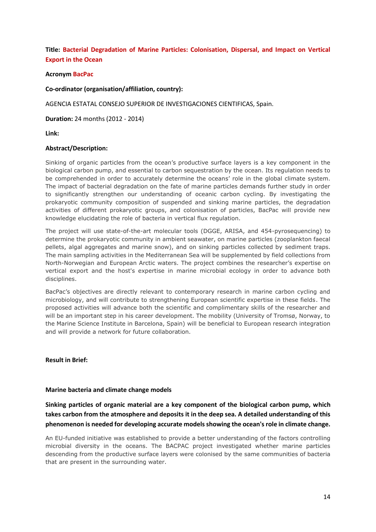# **Title: Bacterial Degradation of Marine Particles: Colonisation, Dispersal, and Impact on Vertical Export in the Ocean**

## **Acronym BacPac**

#### **Co-ordinator (organisation/affiliation, country):**

AGENCIA ESTATAL CONSEJO SUPERIOR DE INVESTIGACIONES CIENTIFICAS, Spain.

**Duration:** 24 months (2012 - 2014)

**Link:**

### **Abstract/Description:**

Sinking of organic particles from the ocean's productive surface layers is a key component in the biological carbon pump, and essential to carbon sequestration by the ocean. Its regulation needs to be comprehended in order to accurately determine the oceans' role in the global climate system. The impact of bacterial degradation on the fate of marine particles demands further study in order to significantly strengthen our understanding of oceanic carbon cycling. By investigating the prokaryotic community composition of suspended and sinking marine particles, the degradation activities of different prokaryotic groups, and colonisation of particles, BacPac will provide new knowledge elucidating the role of bacteria in vertical flux regulation.

The project will use state-of-the-art molecular tools (DGGE, ARISA, and 454-pyrosequencing) to determine the prokaryotic community in ambient seawater, on marine particles (zooplankton faecal pellets, algal aggregates and marine snow), and on sinking particles collected by sediment traps. The main sampling activities in the Mediterranean Sea will be supplemented by field collections from North-Norwegian and European Arctic waters. The project combines the researcher's expertise on vertical export and the host's expertise in marine microbial ecology in order to advance both disciplines.

BacPac's objectives are directly relevant to contemporary research in marine carbon cycling and microbiology, and will contribute to strengthening European scientific expertise in these fields. The proposed activities will advance both the scientific and complimentary skills of the researcher and will be an important step in his career development. The mobility (University of Tromsø, Norway, to the Marine Science Institute in Barcelona, Spain) will be beneficial to European research integration and will provide a network for future collaboration.

#### **Result in Brief:**

#### **Marine bacteria and climate change models**

**Sinking particles of organic material are a key component of the biological carbon pump, which takes carbon from the atmosphere and deposits it in the deep sea. A detailed understanding of this phenomenon is needed for developing accurate models showing the ocean's role in climate change.**

An EU-funded initiative was established to provide a better understanding of the factors controlling microbial diversity in the oceans. The BACPAC project investigated whether marine particles descending from the productive surface layers were colonised by the same communities of bacteria that are present in the surrounding water.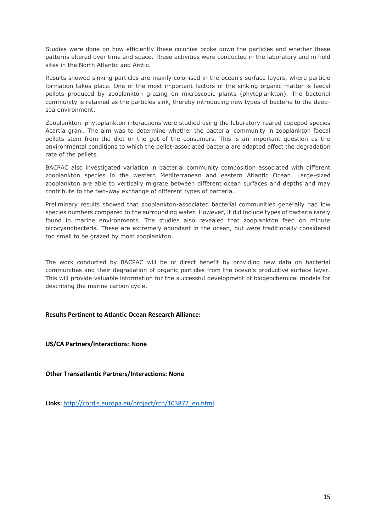Studies were done on how efficiently these colonies broke down the particles and whether these patterns altered over time and space. These activities were conducted in the laboratory and in field sites in the North Atlantic and Arctic.

Results showed sinking particles are mainly colonised in the ocean's surface layers, where particle formation takes place. One of the most important factors of the sinking organic matter is faecal pellets produced by zooplankton grazing on microscopic plants (phytoplankton). The bacterial community is retained as the particles sink, thereby introducing new types of bacteria to the deepsea environment.

Zooplankton–phytoplankton interactions were studied using the laboratory-reared copepod species Acartia grani. The aim was to determine whether the bacterial community in zooplankton faecal pellets stem from the diet or the gut of the consumers. This is an important question as the environmental conditions to which the pellet-associated bacteria are adapted affect the degradation rate of the pellets.

BACPAC also investigated variation in bacterial community composition associated with different zooplankton species in the western Mediterranean and eastern Atlantic Ocean. Large-sized zooplankton are able to vertically migrate between different ocean surfaces and depths and may contribute to the two-way exchange of different types of bacteria.

Preliminary results showed that zooplankton-associated bacterial communities generally had low species numbers compared to the surrounding water. However, it did include types of bacteria rarely found in marine environments. The studies also revealed that zooplankton feed on minute picocyanobacteria. These are extremely abundant in the ocean, but were traditionally considered too small to be grazed by most zooplankton.

The work conducted by BACPAC will be of direct benefit by providing new data on bacterial communities and their degradation of organic particles from the ocean's productive surface layer. This will provide valuable information for the successful development of biogeochemical models for describing the marine carbon cycle.

# **Results Pertinent to Atlantic Ocean Research Alliance:**

**US/CA Partners/Interactions: None**

**Other Transatlantic Partners/Interactions: None**

**Links:** [http://cordis.europa.eu/project/rcn/103877\\_en.html](http://cordis.europa.eu/project/rcn/103877_en.html)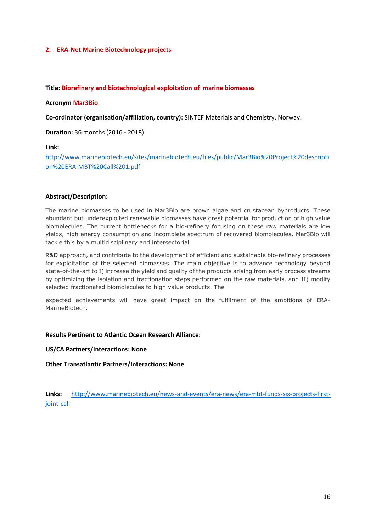## **2. ERA-Net Marine Biotechnology projects**

### **Title: Biorefinery and biotechnological exploitation of marine biomasses**

#### **Acronym Mar3Bio**

**Co-ordinator (organisation/affiliation, country):** SINTEF Materials and Chemistry, Norway.

**Duration:** 36 months (2016 - 2018)

#### **Link:**

[http://www.marinebiotech.eu/sites/marinebiotech.eu/files/public/Mar3Bio%20Project%20descripti](http://www.marinebiotech.eu/sites/marinebiotech.eu/files/public/Mar3Bio%20Project%20description%20ERA-MBT%20Call%201.pdf) [on%20ERA-MBT%20Call%201.pdf](http://www.marinebiotech.eu/sites/marinebiotech.eu/files/public/Mar3Bio%20Project%20description%20ERA-MBT%20Call%201.pdf)

### **Abstract/Description:**

The marine biomasses to be used in Mar3Bio are brown algae and crustacean byproducts. These abundant but underexploited renewable biomasses have great potential for production of high value biomolecules. The current bottlenecks for a bio-refinery focusing on these raw materials are low yields, high energy consumption and incomplete spectrum of recovered biomolecules. Mar3Bio will tackle this by a multidisciplinary and intersectorial

R&D approach, and contribute to the development of efficient and sustainable bio-refinery processes for exploitation of the selected biomasses. The main objective is to advance technology beyond state-of-the-art to I) increase the yield and quality of the products arising from early process streams by optimizing the isolation and fractionation steps performed on the raw materials, and II) modify selected fractionated biomolecules to high value products. The

expected achievements will have great impact on the fulfilment of the ambitions of ERA-MarineBiotech.

#### **Results Pertinent to Atlantic Ocean Research Alliance:**

**US/CA Partners/Interactions: None**

**Other Transatlantic Partners/Interactions: None**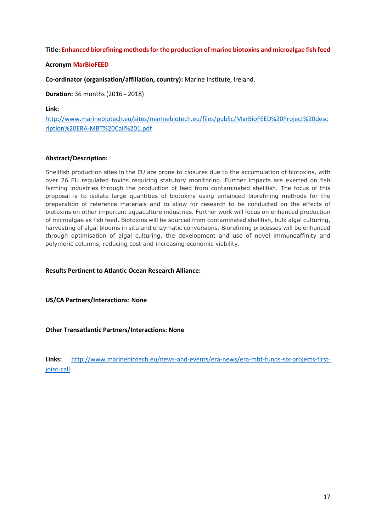# **Title: Enhanced biorefining methods for the production of marine biotoxins and microalgae fish feed**

## **Acronym MarBioFEED**

**Co-ordinator (organisation/affiliation, country):** Marine Institute, Ireland.

**Duration:** 36 months (2016 - 2018)

**Link:**

[http://www.marinebiotech.eu/sites/marinebiotech.eu/files/public/MarBioFEED%20Project%20desc](http://www.marinebiotech.eu/sites/marinebiotech.eu/files/public/MarBioFEED%20Project%20description%20ERA-MBT%20Call%201.pdf) [ription%20ERA-MBT%20Call%201.pdf](http://www.marinebiotech.eu/sites/marinebiotech.eu/files/public/MarBioFEED%20Project%20description%20ERA-MBT%20Call%201.pdf)

### **Abstract/Description:**

Shellfish production sites in the EU are prone to closures due to the accumulation of biotoxins, with over 26 EU regulated toxins requiring statutory monitoring. Further impacts are exerted on fish farming industries through the production of feed from contaminated shellfish. The focus of this proposal is to isolate large quantities of biotoxins using enhanced biorefining methods for the preparation of reference materials and to allow for research to be conducted on the effects of biotoxins on other important aquaculture industries. Further work will focus on enhanced production of microalgae as fish feed. Biotoxins will be sourced from contaminated shellfish, bulk algal culturing, harvesting of algal blooms in situ and enzymatic conversions. Biorefining processes will be enhanced through optimisation of algal culturing, the development and use of novel immunoaffinity and polymeric columns, reducing cost and increasing economic viability.

**Results Pertinent to Atlantic Ocean Research Alliance:** 

**US/CA Partners/Interactions: None**

**Other Transatlantic Partners/Interactions: None**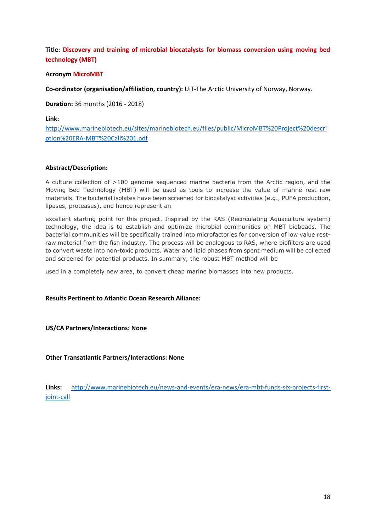**Title: Discovery and training of microbial biocatalysts for biomass conversion using moving bed technology (MBT)**

## **Acronym MicroMBT**

**Co-ordinator (organisation/affiliation, country):** UiT-The Arctic University of Norway, Norway.

**Duration:** 36 months (2016 - 2018)

**Link:**

[http://www.marinebiotech.eu/sites/marinebiotech.eu/files/public/MicroMBT%20Project%20descri](http://www.marinebiotech.eu/sites/marinebiotech.eu/files/public/MicroMBT%20Project%20description%20ERA-MBT%20Call%201.pdf) [ption%20ERA-MBT%20Call%201.pdf](http://www.marinebiotech.eu/sites/marinebiotech.eu/files/public/MicroMBT%20Project%20description%20ERA-MBT%20Call%201.pdf)

### **Abstract/Description:**

A culture collection of >100 genome sequenced marine bacteria from the Arctic region, and the Moving Bed Technology (MBT) will be used as tools to increase the value of marine rest raw materials. The bacterial isolates have been screened for biocatalyst activities (e.g., PUFA production, lipases, proteases), and hence represent an

excellent starting point for this project. Inspired by the RAS (Recirculating Aquaculture system) technology, the idea is to establish and optimize microbial communities on MBT biobeads. The bacterial communities will be specifically trained into microfactories for conversion of low value restraw material from the fish industry. The process will be analogous to RAS, where biofilters are used to convert waste into non-toxic products. Water and lipid phases from spent medium will be collected and screened for potential products. In summary, the robust MBT method will be

used in a completely new area, to convert cheap marine biomasses into new products.

#### **Results Pertinent to Atlantic Ocean Research Alliance:**

**US/CA Partners/Interactions: None**

**Other Transatlantic Partners/Interactions: None**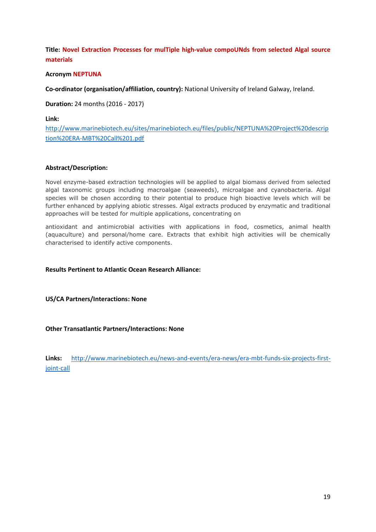**Title: Novel Extraction Processes for mulTiple high-value compoUNds from selected Algal source materials**

## **Acronym NEPTUNA**

**Co-ordinator (organisation/affiliation, country):** National University of Ireland Galway, Ireland.

**Duration:** 24 months (2016 - 2017)

**Link:**

[http://www.marinebiotech.eu/sites/marinebiotech.eu/files/public/NEPTUNA%20Project%20descrip](http://www.marinebiotech.eu/sites/marinebiotech.eu/files/public/NEPTUNA%20Project%20description%20ERA-MBT%20Call%201.pdf) [tion%20ERA-MBT%20Call%201.pdf](http://www.marinebiotech.eu/sites/marinebiotech.eu/files/public/NEPTUNA%20Project%20description%20ERA-MBT%20Call%201.pdf)

### **Abstract/Description:**

Novel enzyme-based extraction technologies will be applied to algal biomass derived from selected algal taxonomic groups including macroalgae (seaweeds), microalgae and cyanobacteria. Algal species will be chosen according to their potential to produce high bioactive levels which will be further enhanced by applying abiotic stresses. Algal extracts produced by enzymatic and traditional approaches will be tested for multiple applications, concentrating on

antioxidant and antimicrobial activities with applications in food, cosmetics, animal health (aquaculture) and personal/home care. Extracts that exhibit high activities will be chemically characterised to identify active components.

#### **Results Pertinent to Atlantic Ocean Research Alliance:**

**US/CA Partners/Interactions: None**

# **Other Transatlantic Partners/Interactions: None**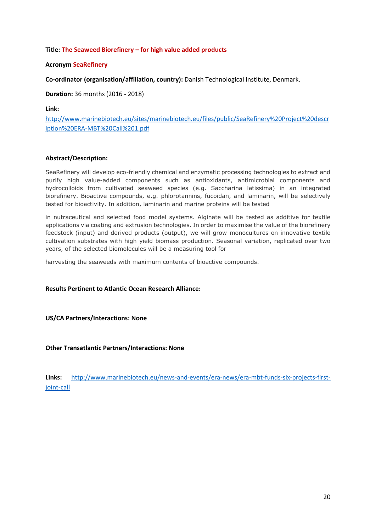# **Title: The Seaweed Biorefinery – for high value added products**

# **Acronym SeaRefinery**

**Co-ordinator (organisation/affiliation, country):** Danish Technological Institute, Denmark.

**Duration:** 36 months (2016 - 2018)

**Link:**

[http://www.marinebiotech.eu/sites/marinebiotech.eu/files/public/SeaRefinery%20Project%20descr](http://www.marinebiotech.eu/sites/marinebiotech.eu/files/public/SeaRefinery%20Project%20description%20ERA-MBT%20Call%201.pdf) [iption%20ERA-MBT%20Call%201.pdf](http://www.marinebiotech.eu/sites/marinebiotech.eu/files/public/SeaRefinery%20Project%20description%20ERA-MBT%20Call%201.pdf)

# **Abstract/Description:**

SeaRefinery will develop eco-friendly chemical and enzymatic processing technologies to extract and purify high value-added components such as antioxidants, antimicrobial components and hydrocolloids from cultivated seaweed species (e.g. Saccharina latissima) in an integrated biorefinery. Bioactive compounds, e.g. phlorotannins, fucoidan, and laminarin, will be selectively tested for bioactivity. In addition, laminarin and marine proteins will be tested

in nutraceutical and selected food model systems. Alginate will be tested as additive for textile applications via coating and extrusion technologies. In order to maximise the value of the biorefinery feedstock (input) and derived products (output), we will grow monocultures on innovative textile cultivation substrates with high yield biomass production. Seasonal variation, replicated over two years, of the selected biomolecules will be a measuring tool for

harvesting the seaweeds with maximum contents of bioactive compounds.

# **Results Pertinent to Atlantic Ocean Research Alliance:**

**US/CA Partners/Interactions: None**

**Other Transatlantic Partners/Interactions: None**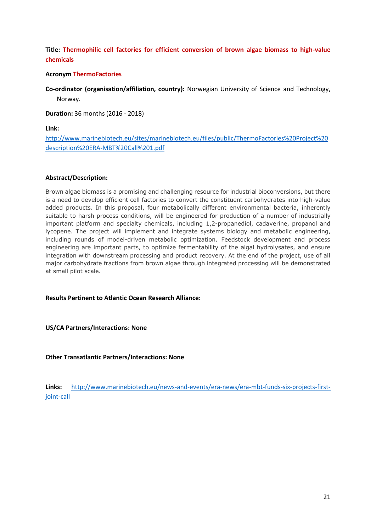# **Title: Thermophilic cell factories for efficient conversion of brown algae biomass to high-value chemicals**

# **Acronym ThermoFactories**

**Co-ordinator (organisation/affiliation, country):** Norwegian University of Science and Technology, Norway.

**Duration:** 36 months (2016 - 2018)

**Link:**

[http://www.marinebiotech.eu/sites/marinebiotech.eu/files/public/ThermoFactories%20Project%20](http://www.marinebiotech.eu/sites/marinebiotech.eu/files/public/ThermoFactories%20Project%20description%20ERA-MBT%20Call%201.pdf) [description%20ERA-MBT%20Call%201.pdf](http://www.marinebiotech.eu/sites/marinebiotech.eu/files/public/ThermoFactories%20Project%20description%20ERA-MBT%20Call%201.pdf)

### **Abstract/Description:**

Brown algae biomass is a promising and challenging resource for industrial bioconversions, but there is a need to develop efficient cell factories to convert the constituent carbohydrates into high-value added products. In this proposal, four metabolically different environmental bacteria, inherently suitable to harsh process conditions, will be engineered for production of a number of industrially important platform and specialty chemicals, including 1,2-propanediol, cadaverine, propanol and lycopene. The project will implement and integrate systems biology and metabolic engineering, including rounds of model-driven metabolic optimization. Feedstock development and process engineering are important parts, to optimize fermentability of the algal hydrolysates, and ensure integration with downstream processing and product recovery. At the end of the project, use of all major carbohydrate fractions from brown algae through integrated processing will be demonstrated at small pilot scale.

#### **Results Pertinent to Atlantic Ocean Research Alliance:**

**US/CA Partners/Interactions: None**

**Other Transatlantic Partners/Interactions: None**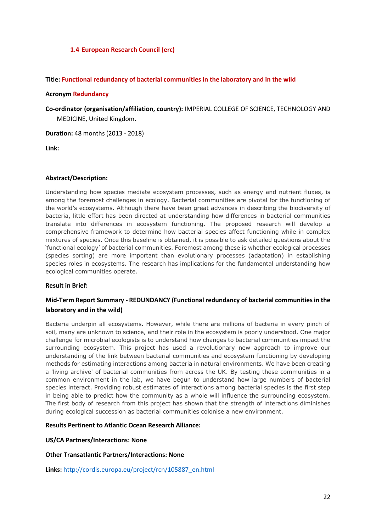# **1.4 European Research Council (erc)**

## **Title: Functional redundancy of bacterial communities in the laboratory and in the wild**

#### **Acronym Redundancy**

**Co-ordinator (organisation/affiliation, country):** IMPERIAL COLLEGE OF SCIENCE, TECHNOLOGY AND MEDICINE, United Kingdom.

**Duration:** 48 months (2013 - 2018)

**Link:**

### **Abstract/Description:**

Understanding how species mediate ecosystem processes, such as energy and nutrient fluxes, is among the foremost challenges in ecology. Bacterial communities are pivotal for the functioning of the world's ecosystems. Although there have been great advances in describing the biodiversity of bacteria, little effort has been directed at understanding how differences in bacterial communities translate into differences in ecosystem functioning. The proposed research will develop a comprehensive framework to determine how bacterial species affect functioning while in complex mixtures of species. Once this baseline is obtained, it is possible to ask detailed questions about the 'functional ecology' of bacterial communities. Foremost among these is whether ecological processes (species sorting) are more important than evolutionary processes (adaptation) in establishing species roles in ecosystems. The research has implications for the fundamental understanding how ecological communities operate.

#### **Result in Brief:**

# **Mid-Term Report Summary - REDUNDANCY (Functional redundancy of bacterial communities in the laboratory and in the wild)**

Bacteria underpin all ecosystems. However, while there are millions of bacteria in every pinch of soil, many are unknown to science, and their role in the ecosystem is poorly understood. One major challenge for microbial ecologists is to understand how changes to bacterial communities impact the surrounding ecosystem. This project has used a revolutionary new approach to improve our understanding of the link between bacterial communities and ecosystem functioning by developing methods for estimating interactions among bacteria in natural environments. We have been creating a 'living archive' of bacterial communities from across the UK. By testing these communities in a common environment in the lab, we have begun to understand how large numbers of bacterial species interact. Providing robust estimates of interactions among bacterial species is the first step in being able to predict how the community as a whole will influence the surrounding ecosystem. The first body of research from this project has shown that the strength of interactions diminishes during ecological succession as bacterial communities colonise a new environment.

# **Results Pertinent to Atlantic Ocean Research Alliance:**

## **US/CA Partners/Interactions: None**

**Other Transatlantic Partners/Interactions: None**

**Links:** [http://cordis.europa.eu/project/rcn/105887\\_en.html](http://cordis.europa.eu/project/rcn/105887_en.html)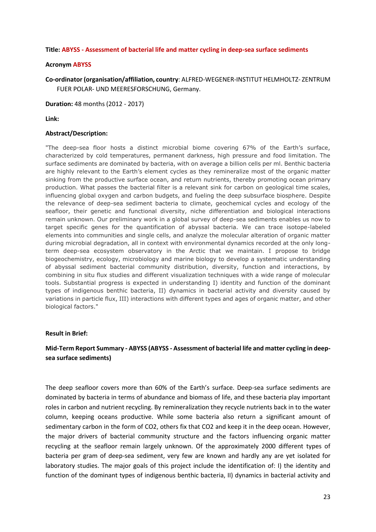#### **Title: ABYSS - Assessment of bacterial life and matter cycling in deep-sea surface sediments**

#### **Acronym ABYSS**

**Co-ordinator (organisation/affiliation, country**: ALFRED-WEGENER-INSTITUT HELMHOLTZ- ZENTRUM FUER POLAR- UND MEERESFORSCHUNG, Germany.

**Duration:** 48 months (2012 - 2017)

**Link:**

#### **Abstract/Description:**

"The deep-sea floor hosts a distinct microbial biome covering 67% of the Earth's surface, characterized by cold temperatures, permanent darkness, high pressure and food limitation. The surface sediments are dominated by bacteria, with on average a billion cells per ml. Benthic bacteria are highly relevant to the Earth's element cycles as they remineralize most of the organic matter sinking from the productive surface ocean, and return nutrients, thereby promoting ocean primary production. What passes the bacterial filter is a relevant sink for carbon on geological time scales, influencing global oxygen and carbon budgets, and fueling the deep subsurface biosphere. Despite the relevance of deep-sea sediment bacteria to climate, geochemical cycles and ecology of the seafloor, their genetic and functional diversity, niche differentiation and biological interactions remain unknown. Our preliminary work in a global survey of deep-sea sediments enables us now to target specific genes for the quantification of abyssal bacteria. We can trace isotope-labeled elements into communities and single cells, and analyze the molecular alteration of organic matter during microbial degradation, all in context with environmental dynamics recorded at the only longterm deep-sea ecosystem observatory in the Arctic that we maintain. I propose to bridge biogeochemistry, ecology, microbiology and marine biology to develop a systematic understanding of abyssal sediment bacterial community distribution, diversity, function and interactions, by combining in situ flux studies and different visualization techniques with a wide range of molecular tools. Substantial progress is expected in understanding I) identity and function of the dominant types of indigenous benthic bacteria, II) dynamics in bacterial activity and diversity caused by variations in particle flux, III) interactions with different types and ages of organic matter, and other biological factors."

# **Result in Brief:**

# **Mid-Term Report Summary - ABYSS (ABYSS - Assessment of bacterial life and matter cycling in deepsea surface sediments)**

The deep seafloor covers more than 60% of the Earth's surface. Deep-sea surface sediments are dominated by bacteria in terms of abundance and biomass of life, and these bacteria play important roles in carbon and nutrient recycling. By remineralization they recycle nutrients back in to the water column, keeping oceans productive. While some bacteria also return a significant amount of sedimentary carbon in the form of CO2, others fix that CO2 and keep it in the deep ocean. However, the major drivers of bacterial community structure and the factors influencing organic matter recycling at the seafloor remain largely unknown. Of the approximately 2000 different types of bacteria per gram of deep-sea sediment, very few are known and hardly any are yet isolated for laboratory studies. The major goals of this project include the identification of: I) the identity and function of the dominant types of indigenous benthic bacteria, II) dynamics in bacterial activity and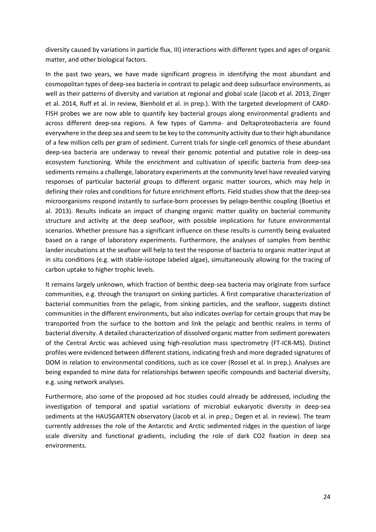diversity caused by variations in particle flux, III) interactions with different types and ages of organic matter, and other biological factors.

In the past two years, we have made significant progress in identifying the most abundant and cosmopolitan types of deep-sea bacteria in contrast to pelagic and deep subsurface environments, as well as their patterns of diversity and variation at regional and global scale (Jacob et al. 2013, Zinger et al. 2014, Ruff et al. in review, Bienhold et al. in prep.). With the targeted development of CARD-FISH probes we are now able to quantify key bacterial groups along environmental gradients and across different deep-sea regions. A few types of Gamma- and Deltaproteobacteria are found everywhere in the deep sea and seem to be key to the community activity due to their high abundance of a few million cells per gram of sediment. Current trials for single-cell genomics of these abundant deep-sea bacteria are underway to reveal their genomic potential and putative role in deep-sea ecosystem functioning. While the enrichment and cultivation of specific bacteria from deep-sea sediments remains a challenge, laboratory experiments at the community level have revealed varying responses of particular bacterial groups to different organic matter sources, which may help in defining their roles and conditions for future enrichment efforts. Field studies show that the deep-sea microorganisms respond instantly to surface-born processes by pelago-benthic coupling (Boetius et al. 2013). Results indicate an impact of changing organic matter quality on bacterial community structure and activity at the deep seafloor, with possible implications for future environmental scenarios. Whether pressure has a significant influence on these results is currently being evaluated based on a range of laboratory experiments. Furthermore, the analyses of samples from benthic lander incubations at the seafloor will help to test the response of bacteria to organic matter input at in situ conditions (e.g. with stable-isotope labeled algae), simultaneously allowing for the tracing of carbon uptake to higher trophic levels.

It remains largely unknown, which fraction of benthic deep-sea bacteria may originate from surface communities, e.g. through the transport on sinking particles. A first comparative characterization of bacterial communities from the pelagic, from sinking particles, and the seafloor, suggests distinct communities in the different environments, but also indicates overlap for certain groups that may be transported from the surface to the bottom and link the pelagic and benthic realms in terms of bacterial diversity. A detailed characterization of dissolved organic matter from sediment porewaters of the Central Arctic was achieved using high-resolution mass spectrometry (FT-ICR-MS). Distinct profiles were evidenced between different stations, indicating fresh and more degraded signatures of DOM in relation to environmental conditions, such as ice cover (Rossel et al. in prep.). Analyses are being expanded to mine data for relationships between specific compounds and bacterial diversity, e.g. using network analyses.

Furthermore, also some of the proposed ad hoc studies could already be addressed, including the investigation of temporal and spatial variations of microbial eukaryotic diversity in deep-sea sediments at the HAUSGARTEN observatory (Jacob et al. in prep.; Degen et al. in review). The team currently addresses the role of the Antarctic and Arctic sedimented ridges in the question of large scale diversity and functional gradients, including the role of dark CO2 fixation in deep sea environments.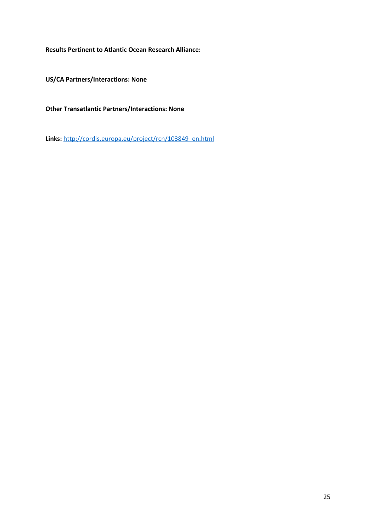**Results Pertinent to Atlantic Ocean Research Alliance:** 

**US/CA Partners/Interactions: None**

**Other Transatlantic Partners/Interactions: None**

**Links:** [http://cordis.europa.eu/project/rcn/103849\\_en.html](http://cordis.europa.eu/project/rcn/103849_en.html)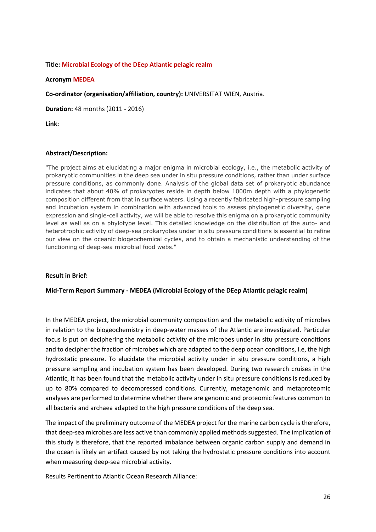# **Title: Microbial Ecology of the DEep Atlantic pelagic realm**

## **Acronym MEDEA**

**Co-ordinator (organisation/affiliation, country):** UNIVERSITAT WIEN, Austria.

**Duration:** 48 months (2011 - 2016)

**Link:**

### **Abstract/Description:**

"The project aims at elucidating a major enigma in microbial ecology, i.e., the metabolic activity of prokaryotic communities in the deep sea under in situ pressure conditions, rather than under surface pressure conditions, as commonly done. Analysis of the global data set of prokaryotic abundance indicates that about 40% of prokaryotes reside in depth below 1000m depth with a phylogenetic composition different from that in surface waters. Using a recently fabricated high-pressure sampling and incubation system in combination with advanced tools to assess phylogenetic diversity, gene expression and single-cell activity, we will be able to resolve this enigma on a prokaryotic community level as well as on a phylotype level. This detailed knowledge on the distribution of the auto- and heterotrophic activity of deep-sea prokaryotes under in situ pressure conditions is essential to refine our view on the oceanic biogeochemical cycles, and to obtain a mechanistic understanding of the functioning of deep-sea microbial food webs."

#### **Result in Brief:**

#### **Mid-Term Report Summary - MEDEA (Microbial Ecology of the DEep Atlantic pelagic realm)**

In the MEDEA project, the microbial community composition and the metabolic activity of microbes in relation to the biogeochemistry in deep-water masses of the Atlantic are investigated. Particular focus is put on deciphering the metabolic activity of the microbes under in situ pressure conditions and to decipher the fraction of microbes which are adapted to the deep ocean conditions, i.e, the high hydrostatic pressure. To elucidate the microbial activity under in situ pressure conditions, a high pressure sampling and incubation system has been developed. During two research cruises in the Atlantic, it has been found that the metabolic activity under in situ pressure conditions is reduced by up to 80% compared to decompressed conditions. Currently, metagenomic and metaproteomic analyses are performed to determine whether there are genomic and proteomic features common to all bacteria and archaea adapted to the high pressure conditions of the deep sea.

The impact of the preliminary outcome of the MEDEA project for the marine carbon cycle is therefore, that deep-sea microbes are less active than commonly applied methods suggested. The implication of this study is therefore, that the reported imbalance between organic carbon supply and demand in the ocean is likely an artifact caused by not taking the hydrostatic pressure conditions into account when measuring deep-sea microbial activity.

Results Pertinent to Atlantic Ocean Research Alliance: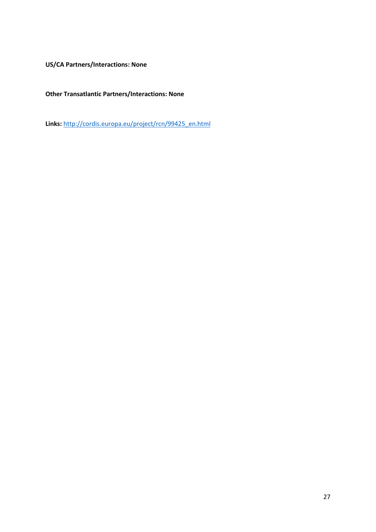**US/CA Partners/Interactions: None**

**Other Transatlantic Partners/Interactions: None**

**Links:** [http://cordis.europa.eu/project/rcn/99425\\_en.html](http://cordis.europa.eu/project/rcn/99425_en.html)